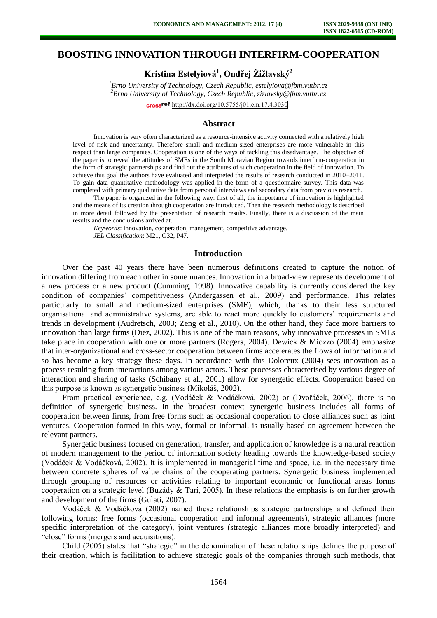# **BOOSTING INNOVATION THROUGH INTERFIRM-COOPERATION**

**Kristina Estelyiová<sup>1</sup> , Ondřej Žižlavský<sup>2</sup>**

*<sup>1</sup>Brno University of Technology, Czech Republic, estelyiova@fbm.vutbr.cz <sup>2</sup>Brno University of Technology, Czech Republic, zizlavsky@fbm.vutbr.cz*  cross<sup>ref</sup> <http://dx.doi.org/10.5755/j01.em.17.4.3030>

#### **Abstract**

Innovation is very often characterized as a resource-intensive activity connected with a relatively high level of risk and uncertainty. Therefore small and medium-sized enterprises are more vulnerable in this respect than large companies. Cooperation is one of the ways of tackling this disadvantage. The objective of the paper is to reveal the attitudes of SMEs in the South Moravian Region towards interfirm-cooperation in the form of strategic partnerships and find out the attributes of such cooperation in the field of innovation. To achieve this goal the authors have evaluated and interpreted the results of research conducted in 2010–2011. To gain data quantitative methodology was applied in the form of a questionnaire survey. This data was completed with primary qualitative data from personal interviews and secondary data from previous research.

The paper is organized in the following way: first of all, the importance of innovation is highlighted and the means of its creation through cooperation are introduced. Then the research methodology is described in more detail followed by the presentation of research results. Finally, there is a discussion of the main results and the conclusions arrived at.

*Keywords*: innovation, cooperation, management, competitive advantage. *JEL Classification*: M21, O32, P47.

# **Introduction**

Over the past 40 years there have been numerous definitions created to capture the notion of innovation differing from each other in some nuances. Innovation in a broad-view represents development of a new process or a new product (Cumming, 1998). Innovative capability is currently considered the key condition of companies' competitiveness (Andergassen et al., 2009) and performance. This relates particularly to small and medium-sized enterprises (SME), which, thanks to their less structured organisational and administrative systems, are able to react more quickly to customers' requirements and trends in development (Audretsch, 2003; Zeng et al., 2010). On the other hand, they face more barriers to innovation than large firms (Diez, 2002). This is one of the main reasons, why innovative processes in SMEs take place in cooperation with one or more partners (Rogers, 2004). Dewick & Miozzo (2004) emphasize that inter-organizational and cross-sector cooperation between firms accelerates the flows of information and so has become a key strategy these days. In accordance with this Doloreux (2004) sees innovation as a process resulting from interactions among various actors. These processes characterised by various degree of interaction and sharing of tasks (Schibany et al., 2001) allow for synergetic effects. Cooperation based on this purpose is known as synergetic business (Mikoláš, 2002).

From practical experience, e.g. (Vodáček & Vodáčková, 2002) or (Dvořáček, 2006), there is no definition of synergetic business. In the broadest context synergetic business includes all forms of cooperation between firms, from free forms such as occasional cooperation to close alliances such as joint ventures. Cooperation formed in this way, formal or informal, is usually based on agreement between the relevant partners.

Synergetic business focused on generation, transfer, and application of knowledge is a natural reaction of modern management to the period of information society heading towards the knowledge-based society (Vodáček & Vodáčková, 2002). It is implemented in managerial time and space, i.e. in the necessary time between concrete spheres of value chains of the cooperating partners. Synergetic business implemented through grouping of resources or activities relating to important economic or functional areas forms cooperation on a strategic level (Buzády  $\&$  Tari, 2005). In these relations the emphasis is on further growth and development of the firms (Gulati, 2007).

Vodáček & Vodáčková (2002) named these relationships strategic partnerships and defined their following forms: free forms (occasional cooperation and informal agreements), strategic alliances (more specific interpretation of the category), joint ventures (strategic alliances more broadly interpreted) and "close" forms (mergers and acquisitions).

Child (2005) states that "strategic" in the denomination of these relationships defines the purpose of their creation, which is facilitation to achieve strategic goals of the companies through such methods, that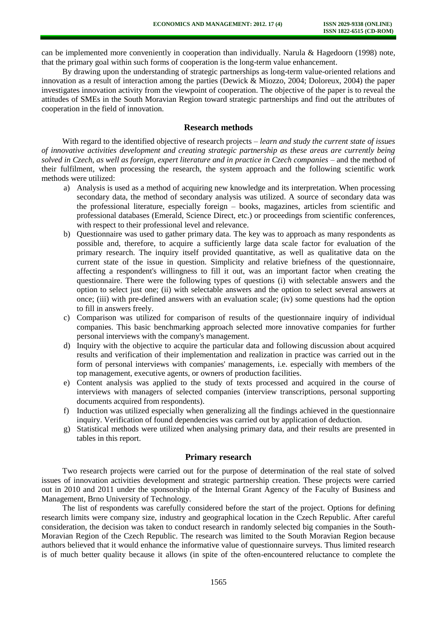can be implemented more conveniently in cooperation than individually. Narula & Hagedoorn (1998) note, that the primary goal within such forms of cooperation is the long-term value enhancement.

By drawing upon the understanding of strategic partnerships as long-term value-oriented relations and innovation as a result of interaction among the parties (Dewick & Miozzo, 2004; Doloreux, 2004) the paper investigates innovation activity from the viewpoint of cooperation. The objective of the paper is to reveal the attitudes of SMEs in the South Moravian Region toward strategic partnerships and find out the attributes of cooperation in the field of innovation.

### **Research methods**

With regard to the identified objective of research projects – *learn and study the current state of issues of innovative activities development and creating strategic partnership as these areas are currently being solved in Czech, as well as foreign, expert literature and in practice in Czech companies* – and the method of their fulfilment, when processing the research, the system approach and the following scientific work methods were utilized:

- a) Analysis is used as a method of acquiring new knowledge and its interpretation. When processing secondary data, the method of secondary analysis was utilized. A source of secondary data was the professional literature, especially foreign – books, magazines, articles from scientific and professional databases (Emerald, Science Direct, etc.) or proceedings from scientific conferences, with respect to their professional level and relevance.
- b) Questionnaire was used to gather primary data. The key was to approach as many respondents as possible and, therefore, to acquire a sufficiently large data scale factor for evaluation of the primary research. The inquiry itself provided quantitative, as well as qualitative data on the current state of the issue in question. Simplicity and relative briefness of the questionnaire, affecting a respondent's willingness to fill it out, was an important factor when creating the questionnaire. There were the following types of questions (i) with selectable answers and the option to select just one; (ii) with selectable answers and the option to select several answers at once; (iii) with pre-defined answers with an evaluation scale; (iv) some questions had the option to fill in answers freely.
- c) Comparison was utilized for comparison of results of the questionnaire inquiry of individual companies. This basic benchmarking approach selected more innovative companies for further personal interviews with the company's management.
- d) Inquiry with the objective to acquire the particular data and following discussion about acquired results and verification of their implementation and realization in practice was carried out in the form of personal interviews with companies' managements, i.e. especially with members of the top management, executive agents, or owners of production facilities.
- e) Content analysis was applied to the study of texts processed and acquired in the course of interviews with managers of selected companies (interview transcriptions, personal supporting documents acquired from respondents).
- f) Induction was utilized especially when generalizing all the findings achieved in the questionnaire inquiry. Verification of found dependencies was carried out by application of deduction.
- g) Statistical methods were utilized when analysing primary data, and their results are presented in tables in this report.

### **Primary research**

Two research projects were carried out for the purpose of determination of the real state of solved issues of innovation activities development and strategic partnership creation. These projects were carried out in 2010 and 2011 under the sponsorship of the Internal Grant Agency of the Faculty of Business and Management, Brno University of Technology.

The list of respondents was carefully considered before the start of the project. Options for defining research limits were company size, industry and geographical location in the Czech Republic. After careful consideration, the decision was taken to conduct research in randomly selected big companies in the South-Moravian Region of the Czech Republic. The research was limited to the South Moravian Region because authors believed that it would enhance the informative value of questionnaire surveys. Thus limited research is of much better quality because it allows (in spite of the often-encountered reluctance to complete the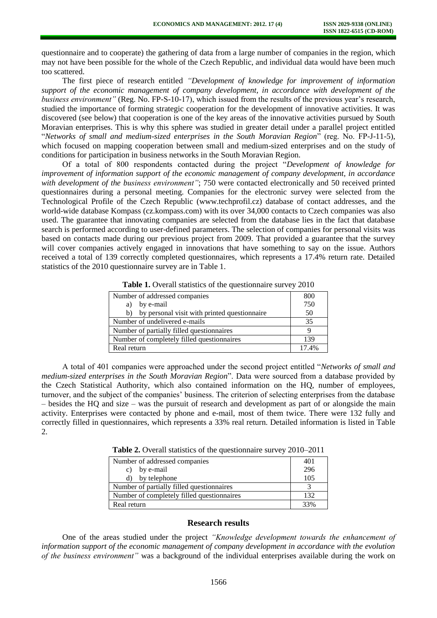questionnaire and to cooperate) the gathering of data from a large number of companies in the region, which may not have been possible for the whole of the Czech Republic, and individual data would have been much too scattered.

The first piece of research entitled *"Development of knowledge for improvement of information support of the economic management of company development, in accordance with development of the business environment"* (Reg. No. FP-S-10-17), which issued from the results of the previous year's research, studied the importance of forming strategic cooperation for the development of innovative activities. It was discovered (see below) that cooperation is one of the key areas of the innovative activities pursued by South Moravian enterprises. This is why this sphere was studied in greater detail under a parallel project entitled "*Networks of small and medium-sized enterprises in the South Moravian Region*" (reg. No. FP-J-11-5), which focused on mapping cooperation between small and medium-sized enterprises and on the study of conditions for participation in business networks in the South Moravian Region.

Of a total of 800 respondents contacted during the project "*Development of knowledge for improvement of information support of the economic management of company development, in accordance*  with *development of the business environment*"; 750 were contacted electronically and 50 received printed questionnaires during a personal meeting. Companies for the electronic survey were selected from the Technological Profile of the Czech Republic (www.techprofil.cz) database of contact addresses, and the world-wide database Kompass (cz.kompass.com) with its over 34,000 contacts to Czech companies was also used. The guarantee that innovating companies are selected from the database lies in the fact that database search is performed according to user-defined parameters. The selection of companies for personal visits was based on contacts made during our previous project from 2009. That provided a guarantee that the survey will cover companies actively engaged in innovations that have something to say on the issue. Authors received a total of 139 correctly completed questionnaires, which represents a 17.4% return rate. Detailed statistics of the 2010 questionnaire survey are in Table 1.

| Number of addressed companies                      | 800   |
|----------------------------------------------------|-------|
| by e-mail<br>a)                                    | 750   |
| by personal visit with printed questionnaire<br>b) | 50    |
| Number of undelivered e-mails                      | 35    |
| Number of partially filled questionnaires          |       |
| Number of completely filled questionnaires         | 139   |
| Real return                                        | 17.4% |

Table 1. Overall statistics of the questionnaire survey 2010

A total of 401 companies were approached under the second project entitled "*Networks of small and medium-sized enterprises in the South Moravian Region*". Data were sourced from a database provided by the Czech Statistical Authority, which also contained information on the HQ, number of employees, turnover, and the subject of the companies' business. The criterion of selecting enterprises from the database – besides the HQ and size – was the pursuit of research and development as part of or alongside the main activity. Enterprises were contacted by phone and e-mail, most of them twice. There were 132 fully and correctly filled in questionnaires, which represents a 33% real return. Detailed information is listed in Table 2.

**Table 2.** Overall statistics of the questionnaire survey 2010–2011

| Number of addressed companies              | 401 |
|--------------------------------------------|-----|
| by e-mail<br>C)                            | 296 |
| d) by telephone                            | 105 |
| Number of partially filled questionnaires  |     |
| Number of completely filled questionnaires | 132 |
| Real return                                |     |

#### **Research results**

One of the areas studied under the project *"Knowledge development towards the enhancement of information support of the economic management of company development in accordance with the evolution of the business environment"* was a background of the individual enterprises available during the work on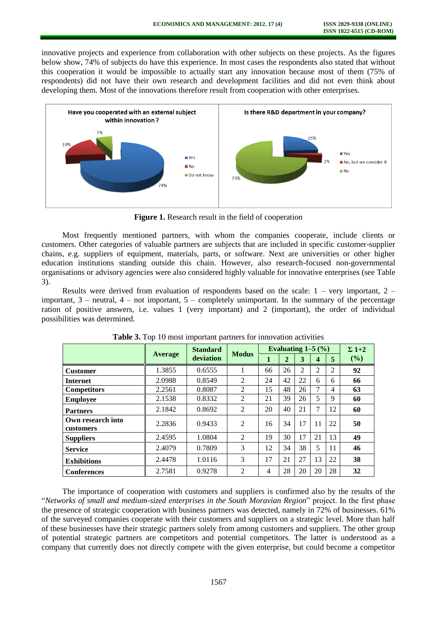innovative projects and experience from collaboration with other subjects on these projects. As the figures below show, 74% of subjects do have this experience. In most cases the respondents also stated that without this cooperation it would be impossible to actually start any innovation because most of them (75% of respondents) did not have their own research and development facilities and did not even think about developing them. Most of the innovations therefore result from cooperation with other enterprises.



**Figure 1.** Research result in the field of cooperation

Most frequently mentioned partners, with whom the companies cooperate, include clients or customers. Other categories of valuable partners are subjects that are included in specific customer-supplier chains, e.g. suppliers of equipment, materials, parts, or software. Next are universities or other higher education institutions standing outside this chain. However, also research-focused non-governmental organisations or advisory agencies were also considered highly valuable for innovative enterprises (see Table 3).

Results were derived from evaluation of respondents based on the scale:  $1 - \text{very important}, 2 - \text{?}$ important,  $3$  – neutral,  $4$  – not important,  $5$  – completely unimportant. In the summary of the percentage ration of positive answers, i.e. values 1 (very important) and 2 (important), the order of individual possibilities was determined.

|                                |                | <b>Standard</b> | <b>Modus</b>   | Evaluating $1-5$ $\left(\frac{9}{6}\right)$ |                |                |                |    | $\Sigma$ 1+2 |
|--------------------------------|----------------|-----------------|----------------|---------------------------------------------|----------------|----------------|----------------|----|--------------|
|                                | <b>Average</b> | deviation       |                | 1                                           | $\overline{2}$ | 3              | 4              | 5  | (%)          |
| <b>Customer</b>                | 1.3855         | 0.6555          |                | 66                                          | 26             | $\overline{c}$ | $\overline{c}$ | 2  | 92           |
| <b>Internet</b>                | 2.0988         | 0.8549          | $\overline{2}$ | 24                                          | 42             | 22             | 6              | 6  | 66           |
| <b>Competitors</b>             | 2.2561         | 0.8087          | 2              | 15                                          | 48             | 26             | 7              | 4  | 63           |
| <b>Employee</b>                | 2.1538         | 0.8332          | 2              | 21                                          | 39             | 26             | 5              | 9  | 60           |
| <b>Partners</b>                | 2.1842         | 0.8692          | 2              | 20                                          | 40             | 21             | 7              | 12 | 60           |
| Own research into<br>customers | 2.2836         | 0.9433          | $\overline{2}$ | 16                                          | 34             | 17             | 11             | 22 | 50           |
| <b>Suppliers</b>               | 2.4595         | 1.0804          | $\overline{2}$ | 19                                          | 30             | 17             | 21             | 13 | 49           |
| <b>Service</b>                 | 2.4079         | 0.7809          | 3              | 12                                          | 34             | 38             | 5              | 11 | 46           |
| <b>Exhibitions</b>             | 2.4478         | 1.0116          | 3              | 17                                          | 21             | 27             | 13             | 22 | 38           |
| <b>Conferences</b>             | 2.7581         | 0.9278          | $\mathfrak{D}$ | 4                                           | 28             | 20             | 20             | 28 | 32           |

**Table 3.** Top 10 most important partners for innovation activities

The importance of cooperation with customers and suppliers is confirmed also by the results of the "*Networks of small and medium-sized enterprises in the South Moravian Region*" project. In the first phase the presence of strategic cooperation with business partners was detected, namely in 72% of businesses. 61% of the surveyed companies cooperate with their customers and suppliers on a strategic level. More than half of these businesses have their strategic partners solely from among customers and suppliers. The other group of potential strategic partners are competitors and potential competitors. The latter is understood as a company that currently does not directly compete with the given enterprise, but could become a competitor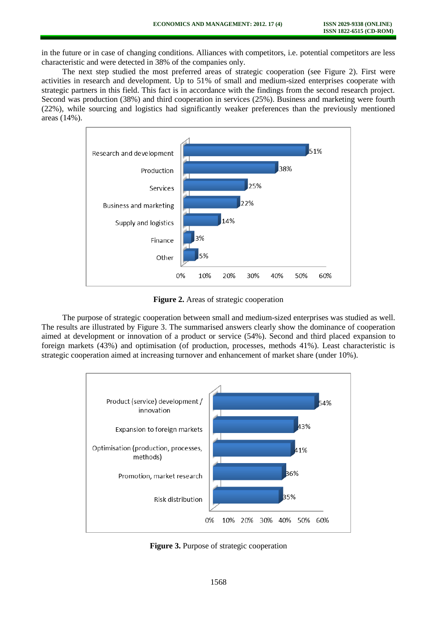in the future or in case of changing conditions. Alliances with competitors, i.e. potential competitors are less characteristic and were detected in 38% of the companies only.

The next step studied the most preferred areas of strategic cooperation (see Figure 2). First were activities in research and development. Up to 51% of small and medium-sized enterprises cooperate with strategic partners in this field. This fact is in accordance with the findings from the second research project. Second was production (38%) and third cooperation in services (25%). Business and marketing were fourth (22%), while sourcing and logistics had significantly weaker preferences than the previously mentioned areas (14%).



**Figure 2.** Areas of strategic cooperation

The purpose of strategic cooperation between small and medium-sized enterprises was studied as well. The results are illustrated by Figure 3. The summarised answers clearly show the dominance of cooperation aimed at development or innovation of a product or service (54%). Second and third placed expansion to foreign markets (43%) and optimisation (of production, processes, methods 41%). Least characteristic is strategic cooperation aimed at increasing turnover and enhancement of market share (under 10%).



**Figure 3.** Purpose of strategic cooperation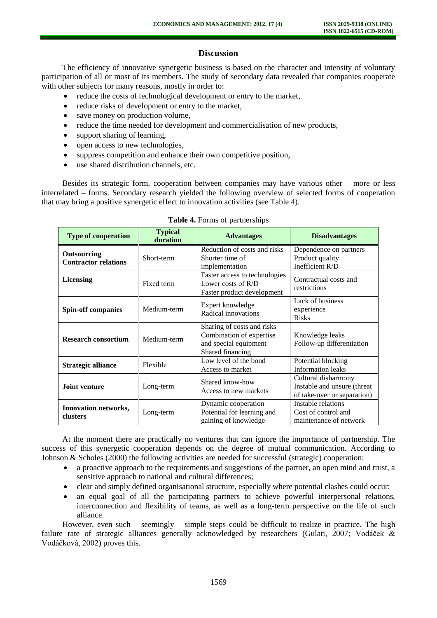# **Discussion**

The efficiency of innovative synergetic business is based on the character and intensity of voluntary participation of all or most of its members. The study of secondary data revealed that companies cooperate with other subjects for many reasons, mostly in order to:

- reduce the costs of technological development or entry to the market,
- reduce risks of development or entry to the market,
- save money on production volume,
- reduce the time needed for development and commercialisation of new products,
- support sharing of learning,
- open access to new technologies,
- suppress competition and enhance their own competitive position,
- use shared distribution channels, etc.

Besides its strategic form, cooperation between companies may have various other – more or less interrelated – forms. Secondary research yielded the following overview of selected forms of cooperation that may bring a positive synergetic effect to innovation activities (see Table 4).

| <b>Type of cooperation</b>                 | <b>Typical</b><br>duration | <b>Advantages</b>                                                                                   | <b>Disadvantages</b>                                                              |  |  |
|--------------------------------------------|----------------------------|-----------------------------------------------------------------------------------------------------|-----------------------------------------------------------------------------------|--|--|
| Outsourcing<br><b>Contractor relations</b> | Short-term                 | Reduction of costs and risks<br>Shorter time of<br>implementation                                   | Dependence on partners<br>Product quality<br>Inefficient R/D                      |  |  |
| <b>Licensing</b>                           | Fixed term                 | Faster access to technologies<br>Lower costs of $R/D$<br>Faster product development                 | Contractual costs and<br>restrictions                                             |  |  |
| <b>Spin-off companies</b>                  | Medium-term                | Expert knowledge<br>Radical innovations                                                             | Lack of business<br>experience<br><b>Risks</b>                                    |  |  |
| <b>Research consortium</b>                 | Medium-term                | Sharing of costs and risks<br>Combination of expertise<br>and special equipment<br>Shared financing | Knowledge leaks<br>Follow-up differentiation                                      |  |  |
| Strategic alliance                         | Flexible                   | Low level of the bond<br>Access to market                                                           | Potential blocking<br><b>Information leaks</b>                                    |  |  |
| <b>Joint venture</b>                       | Long-term                  | Shared know-how<br>Access to new markets                                                            | Cultural disharmony<br>Instable and unsure (threat<br>of take-over or separation) |  |  |
| Innovation networks,<br>clusters           | Long-term                  | Dynamic cooperation<br>Potential for learning and<br>gaining of knowledge                           | Instable relations<br>Cost of control and<br>maintenance of network               |  |  |

**Table 4.** Forms of partnerships

At the moment there are practically no ventures that can ignore the importance of partnership. The success of this synergetic cooperation depends on the degree of mutual communication. According to Johnson & Scholes (2000) the following activities are needed for successful (strategic) cooperation:

- a proactive approach to the requirements and suggestions of the partner, an open mind and trust, a sensitive approach to national and cultural differences;
- clear and simply defined organisational structure, especially where potential clashes could occur;
- an equal goal of all the participating partners to achieve powerful interpersonal relations, interconnection and flexibility of teams, as well as a long-term perspective on the life of such alliance.

However, even such – seemingly – simple steps could be difficult to realize in practice. The high failure rate of strategic alliances generally acknowledged by researchers (Gulati, 2007; Vodáček & Vodáčková, 2002) proves this.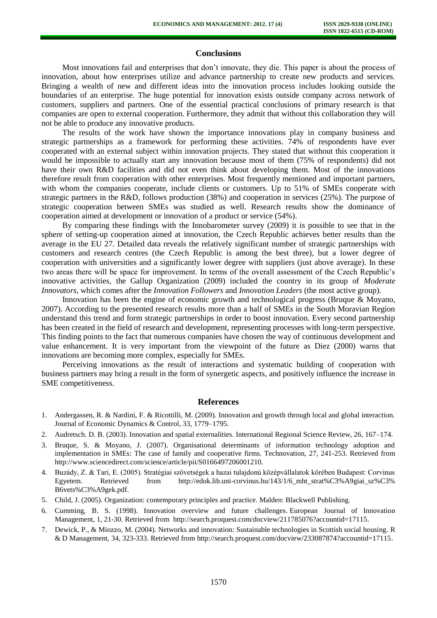# **Conclusions**

Most innovations fail and enterprises that don't innovate, they die. This paper is about the process of innovation, about how enterprises utilize and advance partnership to create new products and services. Bringing a wealth of new and different ideas into the innovation process includes looking outside the boundaries of an enterprise. The huge potential for innovation exists outside company across network of customers, suppliers and partners. One of the essential practical conclusions of primary research is that companies are open to external cooperation. Furthermore, they admit that without this collaboration they will not be able to produce any innovative products.

The results of the work have shown the importance innovations play in company business and strategic partnerships as a framework for performing these activities. 74% of respondents have ever cooperated with an external subject within innovation projects. They stated that without this cooperation it would be impossible to actually start any innovation because most of them (75% of respondents) did not have their own R&D facilities and did not even think about developing them. Most of the innovations therefore result from cooperation with other enterprises. Most frequently mentioned and important partners, with whom the companies cooperate, include clients or customers. Up to 51% of SMEs cooperate with strategic partners in the R&D, follows production (38%) and cooperation in services (25%). The purpose of strategic cooperation between SMEs was studied as well. Research results show the dominance of cooperation aimed at development or innovation of a product or service (54%).

By comparing these findings with the Innobarometer survey (2009) it is possible to see that in the sphere of setting-up cooperation aimed at innovation, the Czech Republic achieves better results than the average in the EU 27. Detailed data reveals the relatively significant number of strategic partnerships with customers and research centres (the Czech Republic is among the best three), but a lower degree of cooperation with universities and a significantly lower degree with suppliers (just above average). In these two areas there will be space for improvement. In terms of the overall assessment of the Czech Republic's innovative activities, the Gallup Organization (2009) included the country in its group of *Moderate Innovators,* which comes after the *Innovation Followers* and *Innovation Leaders* (the most active group).

Innovation has been the engine of economic growth and technological progress (Bruque & Moyano, 2007). According to the presented research results more than a half of SMEs in the South Moravian Region understand this trend and form strategic partnerships in order to boost innovation. Every second partnership has been created in the field of research and development, representing processes with long-term perspective. This finding points to the fact that numerous companies have chosen the way of continuous development and value enhancement. It is very important from the viewpoint of the future as Diez (2000) warns that innovations are becoming more complex, especially for SMEs.

Perceiving innovations as the result of interactions and systematic building of cooperation with business partners may bring a result in the form of synergetic aspects, and positively influence the increase in SME competitiveness.

#### **References**

- 1. Andergassen, R. & Nardini, F. & Ricottilli, M. (2009). Innovation and growth through local and global interaction. Journal of Economic Dynamics & Control, 33, 1779–1795.
- 2. Audretsch. D. B. (2003). Innovation and spatial externalities. International Regional Science Review, 26, 167–174.
- 3. Bruque, S. & Moyano, J. (2007). Organisational determinants of information technology adoption and implementation in SMEs: The case of family and cooperative firms. Technovation, 27, 241-253. Retrieved from http://www.sciencedirect.com/science/article/pii/S0166497206001210.
- 4. Buzády, Z. & Tari, E. (2005). Stratégiai szövetségek a hazai tulajdonú középvállalatok körében Budapest: Corvinus Egyetem. Retrieved from [http://edok.lib.uni-corvinus.hu/143/1/6\\_mht\\_strat%C3%A9giai\\_sz%C3%](http://edok.lib.uni-corvinus.hu/143/1/6_mht_strat%C3%A9giai_sz%C3%B6vets%C3%A9gek.pdf)  [B6vets%C3%A9gek.pdf.](http://edok.lib.uni-corvinus.hu/143/1/6_mht_strat%C3%A9giai_sz%C3%B6vets%C3%A9gek.pdf)
- 5. Child, J. (2005). Organization: contemporary principles and practice. Malden: Blackwell Publishing.
- 6. Cumming, B. S. (1998). Innovation overview and future challenges. European Journal of Innovation Management, 1, 21-30. Retrieved from [http://search.proquest.com/docview/211785076?accountid=17115.](http://search.proquest.com/docview/211785076?accountid=17115)
- 7. Dewick, P., & Miozzo, M. (2004). Networks and innovation: Sustainable technologies in Scottish social housing. R & D Management, 34, 323-333. Retrieved fro[m http://search.proquest.com/docview/233087874?accountid=17115.](http://search.proquest.com/docview/233087874?accountid=17115)